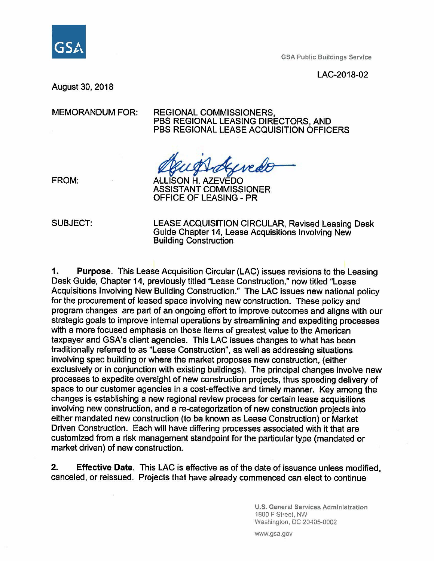

GSA Public Buildings Service

LAC-2018-02

August 30, 2018

#### MEMORANDUM FOR: REGIONAL COMMISSIONERS, PBS REGIONAL LEASING DIRECTORS, AND PBS REGIONAL LEASE ACQUISITION OFFICERS

wede

FROM: ALLISON H. AZEVEDO ASSISTANT COMMISSIONER OFFICE OF LEASING - PR

SUBJECT: LEASE ACQUISITION CIRCULAR, Revised Leasing Desk Guide Chapter 14, Lease Acquisitions Involving New Building Construction

**1. Purpose.** This Lease Acquisition Circular (LAC) issues revisions to the Leasing Desk Guide, Chapter 14, previously titled "Lease Construction," now titled "Lease Acquisitions Involving New Building Construction." The LAC issues new national policy for the procurement of leased space involving new construction. These policy and program changes are part of an ongoing effort to improve outcomes and aligns with our strategic goals to improve internal operations by streamlining and expediting processes with a more focused emphasis on those items of greatest value to the American taxpayer and GSA's client agencies. This LAC issues changes to what has been traditionally referred to as "Lease Construction", as well as addressing situations involving spec building or where the market proposes new construction, (either exclusively or in conjunction with existing buildings). The principal changes involve new processes to expedite oversight of new construction projects, thus speeding delivery of space to our customer agencies in a cost-effective and timely manner. Key among the changes is establishing a new regional review process for certain lease acquisitions involving new construction, and a re-categorization of new construction projects into either mandated new construction (to be known as Lease Construction) or Market Driven Construction. Each will have differing processes associated with it that are customized from a risk management standpoint for the particular type (mandated or market driven) of new construction.

**2. Effective Date.** This LAC is effective as of the date of issuance unless modified, canceled, or reissued. Projects that have already commenced can elect to continue

> **U.S. General Services Administration**  1800 F Street, NW Washington, DC 20405-0002

www.gsa.gov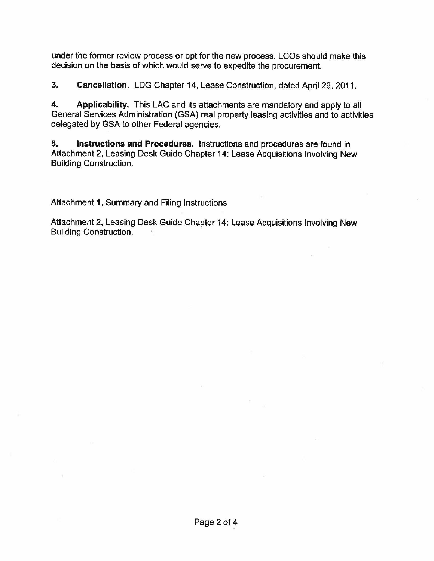under the former review process or opt for the new process. LCOs should make this decision on the basis of which would serve to expedite the procurement.

**3. Cancellation.** LOG Chapter 14, Lease Construction, dated April 29, 2011.

**4. Applicability.** This LAC and its attachments are mandatory and apply to all General Services Administration {GSA) real property leasing activities and to activities delegated by GSA to other Federal agencies.

**5. Instructions and Procedures.** Instructions and procedures are found in Attachment 2, Leasing Desk Guide Chapter 14: Lease Acquisitions Involving New Building Construction.

Attachment 1, Summary and Filing Instructions

Attachment 2, Leasing Desk Guide Chapter 14: Lease Acquisitions Involving New Building Construction.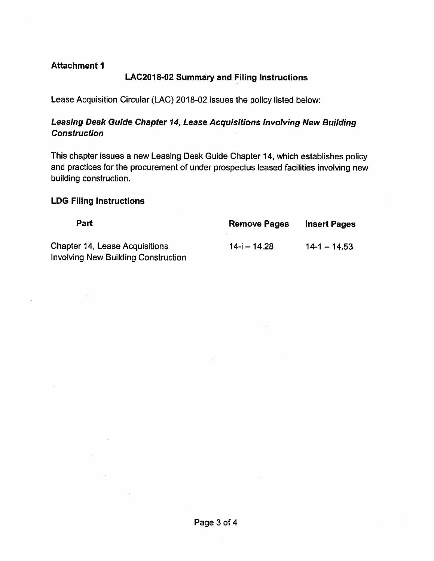### **Attachment 1**

## **LAC2018-02 Summary and Filing Instructions**

Lease Acquisition Circular (LAC) 2018-02 issues the policy listed below:

## **Leasing Desk Guide Chapter 14, Lease Acquisitions Involving New Building Construction**

This chapter issues a new Leasing Desk Guide Chapter 14, which establishes policy and practices for the procurement of under prospectus leased facilities involving new building construction.

#### **LDG Filing Instructions**

| Part                                       | <b>Remove Pages</b> | <b>Insert Pages</b> |
|--------------------------------------------|---------------------|---------------------|
| <b>Chapter 14, Lease Acquisitions</b>      | $14 - i - 14.28$    | $14 - 14.53$        |
| <b>Involving New Building Construction</b> |                     |                     |